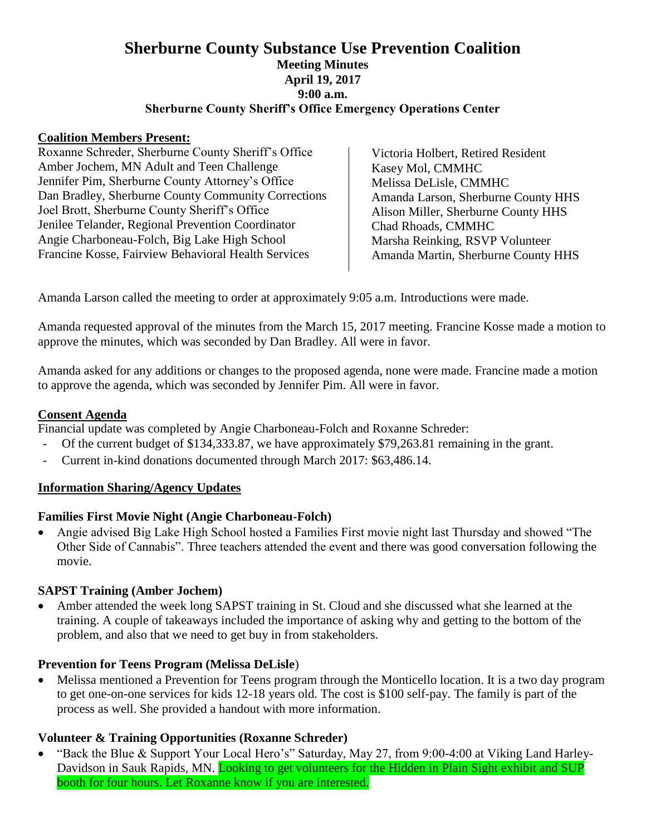## **Sherburne County Substance Use Prevention Coalition Meeting Minutes April 19, 2017 9:00 a.m. Sherburne County Sheriff's Office Emergency Operations Center**

#### **Coalition Members Present:**

Roxanne Schreder, Sherburne County Sheriff's Office Amber Jochem, MN Adult and Teen Challenge Jennifer Pim, Sherburne County Attorney's Office Dan Bradley, Sherburne County Community Corrections Joel Brott, Sherburne County Sheriff's Office Jenilee Telander, Regional Prevention Coordinator Angie Charboneau-Folch, Big Lake High School Francine Kosse, Fairview Behavioral Health Services

Victoria Holbert, Retired Resident Kasey Mol, CMMHC Melissa DeLisle, CMMHC Amanda Larson, Sherburne County HHS Alison Miller, Sherburne County HHS Chad Rhoads, CMMHC Marsha Reinking, RSVP Volunteer Amanda Martin, Sherburne County HHS

Amanda Larson called the meeting to order at approximately 9:05 a.m. Introductions were made.

Amanda requested approval of the minutes from the March 15, 2017 meeting. Francine Kosse made a motion to approve the minutes, which was seconded by Dan Bradley. All were in favor.

Amanda asked for any additions or changes to the proposed agenda, none were made. Francine made a motion to approve the agenda, which was seconded by Jennifer Pim. All were in favor.

### **Consent Agenda**

Financial update was completed by Angie Charboneau-Folch and Roxanne Schreder:

- Of the current budget of \$134,333.87, we have approximately \$79,263.81 remaining in the grant.
- Current in-kind donations documented through March 2017: \$63,486.14.

### **Information Sharing/Agency Updates**

### **Families First Movie Night (Angie Charboneau-Folch)**

 Angie advised Big Lake High School hosted a Families First movie night last Thursday and showed "The Other Side of Cannabis". Three teachers attended the event and there was good conversation following the movie.

### **SAPST Training (Amber Jochem)**

 Amber attended the week long SAPST training in St. Cloud and she discussed what she learned at the training. A couple of takeaways included the importance of asking why and getting to the bottom of the problem, and also that we need to get buy in from stakeholders.

### **Prevention for Teens Program (Melissa DeLisle**)

 Melissa mentioned a Prevention for Teens program through the Monticello location. It is a two day program to get one-on-one services for kids 12-18 years old. The cost is \$100 self-pay. The family is part of the process as well. She provided a handout with more information.

### **Volunteer & Training Opportunities (Roxanne Schreder)**

• "Back the Blue & Support Your Local Hero's" Saturday, May 27, from 9:00-4:00 at Viking Land Harley-Davidson in Sauk Rapids, MN. Looking to get volunteers for the Hidden in Plain Sight exhibit and SUP booth for four hours. Let Roxanne know if you are interested.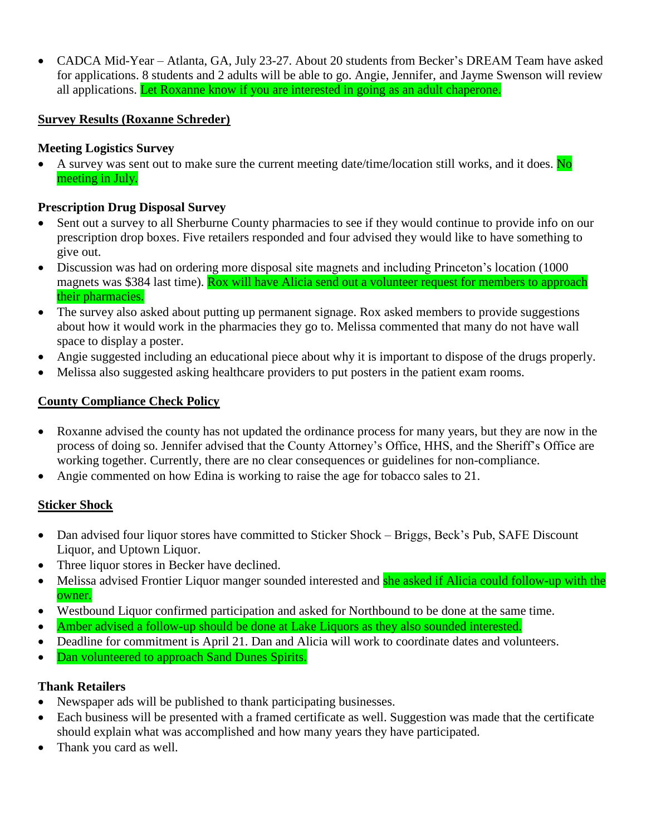CADCA Mid-Year – Atlanta, GA, July 23-27. About 20 students from Becker's DREAM Team have asked for applications. 8 students and 2 adults will be able to go. Angie, Jennifer, and Jayme Swenson will review all applications. Let Roxanne know if you are interested in going as an adult chaperone.

# **Survey Results (Roxanne Schreder)**

# **Meeting Logistics Survey**

A survey was sent out to make sure the current meeting date/time/location still works, and it does.  $\overline{N_0}$ meeting in July.

## **Prescription Drug Disposal Survey**

- Sent out a survey to all Sherburne County pharmacies to see if they would continue to provide info on our prescription drop boxes. Five retailers responded and four advised they would like to have something to give out.
- Discussion was had on ordering more disposal site magnets and including Princeton's location (1000 magnets was \$384 last time). Rox will have Alicia send out a volunteer request for members to approach their pharmacies.
- The survey also asked about putting up permanent signage. Rox asked members to provide suggestions about how it would work in the pharmacies they go to. Melissa commented that many do not have wall space to display a poster.
- Angie suggested including an educational piece about why it is important to dispose of the drugs properly.
- Melissa also suggested asking healthcare providers to put posters in the patient exam rooms.

## **County Compliance Check Policy**

- Roxanne advised the county has not updated the ordinance process for many years, but they are now in the process of doing so. Jennifer advised that the County Attorney's Office, HHS, and the Sheriff's Office are working together. Currently, there are no clear consequences or guidelines for non-compliance.
- Angie commented on how Edina is working to raise the age for tobacco sales to 21.

# **Sticker Shock**

- Dan advised four liquor stores have committed to Sticker Shock Briggs, Beck's Pub, SAFE Discount Liquor, and Uptown Liquor.
- Three liquor stores in Becker have declined.
- Melissa advised Frontier Liquor manger sounded interested and she asked if Alicia could follow-up with the owner.
- Westbound Liquor confirmed participation and asked for Northbound to be done at the same time.
- Amber advised a follow-up should be done at Lake Liquors as they also sounded interested.
- Deadline for commitment is April 21. Dan and Alicia will work to coordinate dates and volunteers.
- Dan volunteered to approach Sand Dunes Spirits.

# **Thank Retailers**

- Newspaper ads will be published to thank participating businesses.
- Each business will be presented with a framed certificate as well. Suggestion was made that the certificate should explain what was accomplished and how many years they have participated.
- Thank you card as well.